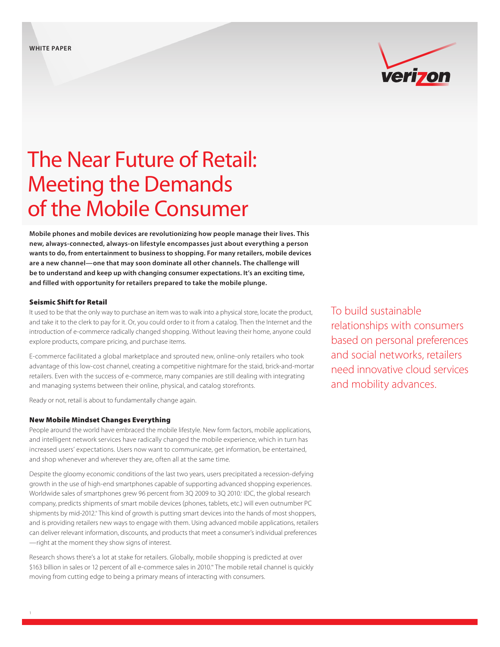

# The Near Future of Retail: Meeting the Demands of the Mobile Consumer

**Mobile phones and mobile devices are revolutionizing how people manage their lives. This new, always-connected, always-on lifestyle encompasses just about everything a person wants to do, from entertainment to business to shopping. For many retailers, mobile devices are a new channel—one that may soon dominate all other channels. The challenge will be to understand and keep up with changing consumer expectations. It's an exciting time, and filled with opportunity for retailers prepared to take the mobile plunge.** 

#### Seismic Shift for Retail

It used to be that the only way to purchase an item was to walk into a physical store, locate the product, and take it to the clerk to pay for it. Or, you could order to it from a catalog. Then the Internet and the introduction of e-commerce radically changed shopping. Without leaving their home, anyone could explore products, compare pricing, and purchase items.

E-commerce facilitated a global marketplace and sprouted new, online-only retailers who took advantage of this low-cost channel, creating a competitive nightmare for the staid, brick-and-mortar retailers. Even with the success of e-commerce, many companies are still dealing with integrating and managing systems between their online, physical, and catalog storefronts.

Ready or not, retail is about to fundamentally change again.

#### New Mobile Mindset Changes Everything

People around the world have embraced the mobile lifestyle. New form factors, mobile applications, and intelligent network services have radically changed the mobile experience, which in turn has increased users' expectations. Users now want to communicate, get information, be entertained, and shop whenever and wherever they are, often all at the same time.

Despite the gloomy economic conditions of the last two years, users precipitated a recession-defying growth in the use of high-end smartphones capable of supporting advanced shopping experiences. Worldwide sales of smartphones grew 96 percent from 3Q 2009 to 3Q 2010. IDC, the global research company, predicts shipments of smart mobile devices (phones, tablets, etc.) will even outnumber PC shipments by mid-2012." This kind of growth is putting smart devices into the hands of most shoppers, and is providing retailers new ways to engage with them. Using advanced mobile applications, retailers can deliver relevant information, discounts, and products that meet a consumer's individual preferences —right at the moment they show signs of interest.

Research shows there's a lot at stake for retailers. Globally, mobile shopping is predicted at over \$163 billion in sales or 12 percent of all e-commerce sales in 2010." The mobile retail channel is quickly moving from cutting edge to being a primary means of interacting with consumers.

To build sustainable relationships with consumers based on personal preferences and social networks, retailers need innovative cloud services and mobility advances.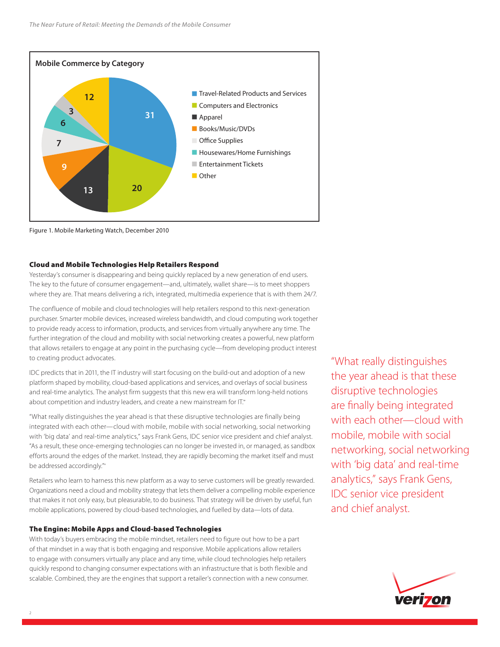

Figure 1. Mobile Marketing Watch, December 2010

#### Cloud and Mobile Technologies Help Retailers Respond

Yesterday's consumer is disappearing and being quickly replaced by a new generation of end users. The key to the future of consumer engagement—and, ultimately, wallet share—is to meet shoppers where they are. That means delivering a rich, integrated, multimedia experience that is with them 24/7.

The confluence of mobile and cloud technologies will help retailers respond to this next-generation purchaser. Smarter mobile devices, increased wireless bandwidth, and cloud computing work together to provide ready access to information, products, and services from virtually anywhere any time. The further integration of the cloud and mobility with social networking creates a powerful, new platform that allows retailers to engage at any point in the purchasing cycle—from developing product interest to creating product advocates.

IDC predicts that in 2011, the IT industry will start focusing on the build-out and adoption of a new platform shaped by mobility, cloud-based applications and services, and overlays of social business and real-time analytics. The analyst firm suggests that this new era will transform long-held notions about competition and industry leaders, and create a new mainstream for IT.<sup>\*</sup>

"What really distinguishes the year ahead is that these disruptive technologies are finally being integrated with each other—cloud with mobile, mobile with social networking, social networking with 'big data' and real-time analytics," says Frank Gens, IDC senior vice president and chief analyst. "As a result, these once-emerging technologies can no longer be invested in, or managed, as sandbox efforts around the edges of the market. Instead, they are rapidly becoming the market itself and must be addressed accordingly."<sup>v</sup>

Retailers who learn to harness this new platform as a way to serve customers will be greatly rewarded. Organizations need a cloud and mobility strategy that lets them deliver a compelling mobile experience that makes it not only easy, but pleasurable, to do business. That strategy will be driven by useful, fun mobile applications, powered by cloud-based technologies, and fuelled by data—lots of data.

#### The Engine: Mobile Apps and Cloud-based Technologies

With today's buyers embracing the mobile mindset, retailers need to figure out how to be a part of that mindset in a way that is both engaging and responsive. Mobile applications allow retailers to engage with consumers virtually any place and any time, while cloud technologies help retailers quickly respond to changing consumer expectations with an infrastructure that is both flexible and scalable. Combined, they are the engines that support a retailer's connection with a new consumer.

"What really distinguishes the year ahead is that these disruptive technologies are finally being integrated with each other—cloud with mobile, mobile with social networking, social networking with 'big data' and real-time analytics," says Frank Gens, IDC senior vice president and chief analyst.

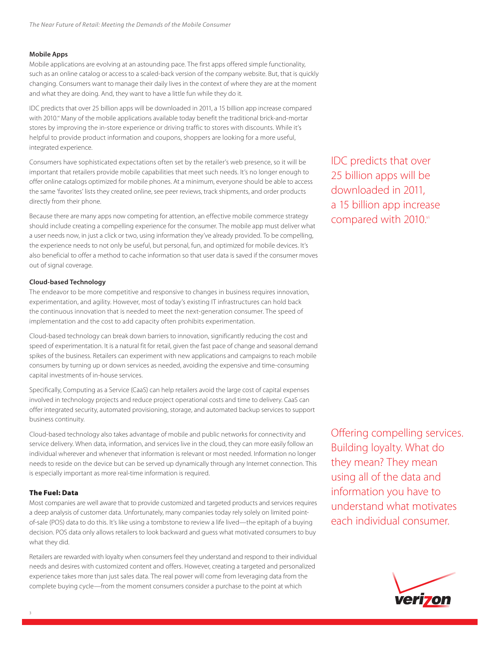#### **Mobile Apps**

Mobile applications are evolving at an astounding pace. The first apps offered simple functionality, such as an online catalog or access to a scaled-back version of the company website. But, that is quickly changing. Consumers want to manage their daily lives in the context of where they are at the moment and what they are doing. And, they want to have a little fun while they do it.

IDC predicts that over 25 billion apps will be downloaded in 2011, a 15 billion app increase compared with 2010.<sup>v</sup> Many of the mobile applications available today benefit the traditional brick-and-mortar stores by improving the in-store experience or driving traffic to stores with discounts. While it's helpful to provide product information and coupons, shoppers are looking for a more useful, integrated experience.

Consumers have sophisticated expectations often set by the retailer's web presence, so it will be important that retailers provide mobile capabilities that meet such needs. It's no longer enough to offer online catalogs optimized for mobile phones. At a minimum, everyone should be able to access the same 'favorites' lists they created online, see peer reviews, track shipments, and order products directly from their phone.

Because there are many apps now competing for attention, an effective mobile commerce strategy should include creating a compelling experience for the consumer. The mobile app must deliver what a user needs now, in just a click or two, using information they've already provided. To be compelling, the experience needs to not only be useful, but personal, fun, and optimized for mobile devices. It's also beneficial to offer a method to cache information so that user data is saved if the consumer moves out of signal coverage.

#### **Cloud-based Technology**

The endeavor to be more competitive and responsive to changes in business requires innovation, experimentation, and agility. However, most of today's existing IT infrastructures can hold back the continuous innovation that is needed to meet the next-generation consumer. The speed of implementation and the cost to add capacity often prohibits experimentation.

Cloud-based technology can break down barriers to innovation, significantly reducing the cost and speed of experimentation. It is a natural fit for retail, given the fast pace of change and seasonal demand spikes of the business. Retailers can experiment with new applications and campaigns to reach mobile consumers by turning up or down services as needed, avoiding the expensive and time-consuming capital investments of in-house services.

Specifically, Computing as a Service (CaaS) can help retailers avoid the large cost of capital expenses involved in technology projects and reduce project operational costs and time to delivery. CaaS can offer integrated security, automated provisioning, storage, and automated backup services to support business continuity.

Cloud-based technology also takes advantage of mobile and public networks for connectivity and service delivery. When data, information, and services live in the cloud, they can more easily follow an individual wherever and whenever that information is relevant or most needed. Information no longer needs to reside on the device but can be served up dynamically through any Internet connection. This is especially important as more real-time information is required.

#### The Fuel: Data

Most companies are well aware that to provide customized and targeted products and services requires a deep analysis of customer data. Unfortunately, many companies today rely solely on limited pointof-sale (POS) data to do this. It's like using a tombstone to review a life lived—the epitaph of a buying decision. POS data only allows retailers to look backward and guess what motivated consumers to buy what they did.

Retailers are rewarded with loyalty when consumers feel they understand and respond to their individual needs and desires with customized content and offers. However, creating a targeted and personalized experience takes more than just sales data. The real power will come from leveraging data from the complete buying cycle—from the moment consumers consider a purchase to the point at which

IDC predicts that over 25 billion apps will be downloaded in 2011, a 15 billion app increase compared with 2010.

Offering compelling services. Building loyalty. What do they mean? They mean using all of the data and information you have to understand what motivates each individual consumer.

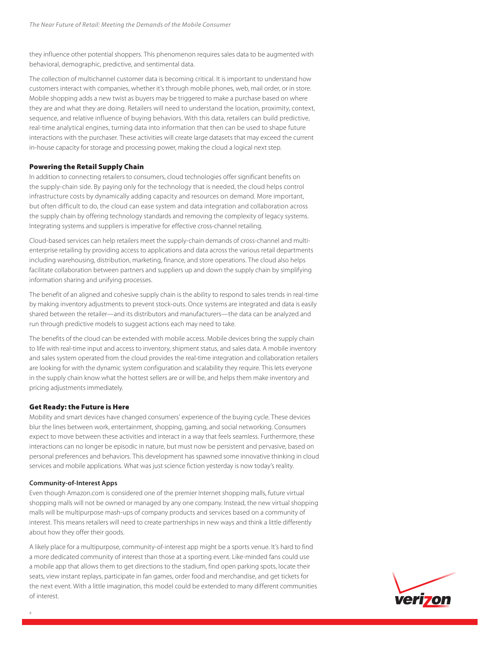they influence other potential shoppers. This phenomenon requires sales data to be augmented with behavioral, demographic, predictive, and sentimental data.

The collection of multichannel customer data is becoming critical. It is important to understand how customers interact with companies, whether it's through mobile phones, web, mail order, or in store. Mobile shopping adds a new twist as buyers may be triggered to make a purchase based on where they are and what they are doing. Retailers will need to understand the location, proximity, context, sequence, and relative influence of buying behaviors. With this data, retailers can build predictive, real-time analytical engines, turning data into information that then can be used to shape future interactions with the purchaser. These activities will create large datasets that may exceed the current in-house capacity for storage and processing power, making the cloud a logical next step.

#### Powering the Retail Supply Chain

In addition to connecting retailers to consumers, cloud technologies offer significant benefits on the supply-chain side. By paying only for the technology that is needed, the cloud helps control infrastructure costs by dynamically adding capacity and resources on demand. More important, but often difficult to do, the cloud can ease system and data integration and collaboration across the supply chain by offering technology standards and removing the complexity of legacy systems. Integrating systems and suppliers is imperative for effective cross-channel retailing.

Cloud-based services can help retailers meet the supply-chain demands of cross-channel and multienterprise retailing by providing access to applications and data across the various retail departments including warehousing, distribution, marketing, finance, and store operations. The cloud also helps facilitate collaboration between partners and suppliers up and down the supply chain by simplifying information sharing and unifying processes.

The benefit of an aligned and cohesive supply chain is the ability to respond to sales trends in real-time by making inventory adjustments to prevent stock-outs. Once systems are integrated and data is easily shared between the retailer—and its distributors and manufacturers—the data can be analyzed and run through predictive models to suggest actions each may need to take.

The benefits of the cloud can be extended with mobile access. Mobile devices bring the supply chain to life with real-time input and access to inventory, shipment status, and sales data. A mobile inventory and sales system operated from the cloud provides the real-time integration and collaboration retailers are looking for with the dynamic system configuration and scalability they require. This lets everyone in the supply chain know what the hottest sellers are or will be, and helps them make inventory and pricing adjustments immediately.

#### Get Ready: the Future is Here

Mobility and smart devices have changed consumers' experience of the buying cycle. These devices blur the lines between work, entertainment, shopping, gaming, and social networking. Consumers expect to move between these activities and interact in a way that feels seamless. Furthermore, these interactions can no longer be episodic in nature, but must now be persistent and pervasive, based on personal preferences and behaviors. This development has spawned some innovative thinking in cloud services and mobile applications. What was just science fiction yesterday is now today's reality.

#### **Community-of-Interest Apps**

Even though Amazon.com is considered one of the premier Internet shopping malls, future virtual shopping malls will not be owned or managed by any one company. Instead, the new virtual shopping malls will be multipurpose mash-ups of company products and services based on a community of interest. This means retailers will need to create partnerships in new ways and think a little differently about how they offer their goods.

A likely place for a multipurpose, community-of-interest app might be a sports venue. It's hard to find a more dedicated community of interest than those at a sporting event. Like-minded fans could use a mobile app that allows them to get directions to the stadium, find open parking spots, locate their seats, view instant replays, participate in fan games, order food and merchandise, and get tickets for the next event. With a little imagination, this model could be extended to many different communities of interest.

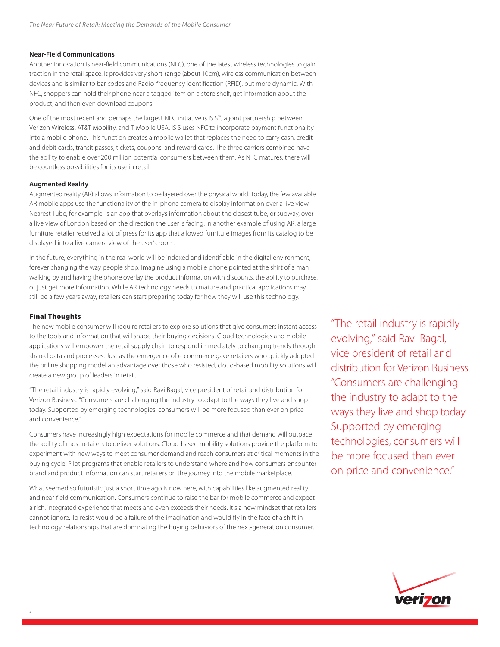#### **Near-Field Communications**

Another innovation is near-field communications (NFC), one of the latest wireless technologies to gain traction in the retail space. It provides very short-range (about 10cm), wireless communication between devices and is similar to bar codes and Radio-frequency identification (RFID), but more dynamic. With NFC, shoppers can hold their phone near a tagged item on a store shelf, get information about the product, and then even download coupons.

One of the most recent and perhaps the largest NFC initiative is ISIS", a joint partnership between Verizon Wireless, AT&T Mobility, and T-Mobile USA. ISIS uses NFC to incorporate payment functionality into a mobile phone. This function creates a mobile wallet that replaces the need to carry cash, credit and debit cards, transit passes, tickets, coupons, and reward cards. The three carriers combined have the ability to enable over 200 million potential consumers between them. As NFC matures, there will be countless possibilities for its use in retail.

#### **Augmented Reality**

Augmented reality (AR) allows information to be layered over the physical world. Today, the few available AR mobile apps use the functionality of the in-phone camera to display information over a live view. Nearest Tube, for example, is an app that overlays information about the closest tube, or subway, over a live view of London based on the direction the user is facing. In another example of using AR, a large furniture retailer received a lot of press for its app that allowed furniture images from its catalog to be displayed into a live camera view of the user's room.

In the future, everything in the real world will be indexed and identifiable in the digital environment, forever changing the way people shop. Imagine using a mobile phone pointed at the shirt of a man walking by and having the phone overlay the product information with discounts, the ability to purchase, or just get more information. While AR technology needs to mature and practical applications may still be a few years away, retailers can start preparing today for how they will use this technology.

#### Final Thoughts

The new mobile consumer will require retailers to explore solutions that give consumers instant access to the tools and information that will shape their buying decisions. Cloud technologies and mobile applications will empower the retail supply chain to respond immediately to changing trends through shared data and processes. Just as the emergence of e-commerce gave retailers who quickly adopted the online shopping model an advantage over those who resisted, cloud-based mobility solutions will create a new group of leaders in retail.

"The retail industry is rapidly evolving," said Ravi Bagal, vice president of retail and distribution for Verizon Business. "Consumers are challenging the industry to adapt to the ways they live and shop today. Supported by emerging technologies, consumers will be more focused than ever on price and convenience."

Consumers have increasingly high expectations for mobile commerce and that demand will outpace the ability of most retailers to deliver solutions. Cloud-based mobility solutions provide the platform to experiment with new ways to meet consumer demand and reach consumers at critical moments in the buying cycle. Pilot programs that enable retailers to understand where and how consumers encounter brand and product information can start retailers on the journey into the mobile marketplace.

What seemed so futuristic just a short time ago is now here, with capabilities like augmented reality and near-field communication. Consumers continue to raise the bar for mobile commerce and expect a rich, integrated experience that meets and even exceeds their needs. It's a new mindset that retailers cannot ignore. To resist would be a failure of the imagination and would fly in the face of a shift in technology relationships that are dominating the buying behaviors of the next-generation consumer.

"The retail industry is rapidly evolving," said Ravi Bagal, vice president of retail and distribution for Verizon Business. "Consumers are challenging the industry to adapt to the ways they live and shop today. Supported by emerging technologies, consumers will be more focused than ever on price and convenience."